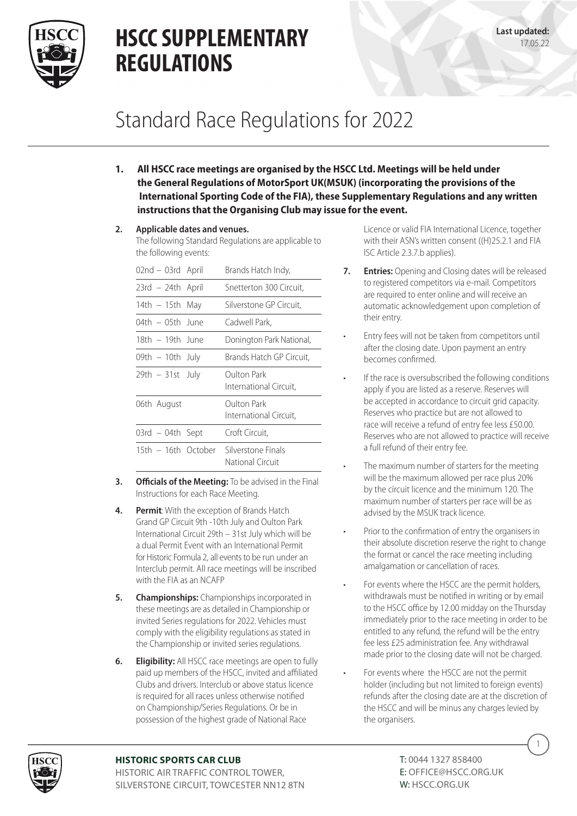

### Standard Race Regulations for 2022

- **1. All HSCC race meetings are organised by the HSCC Ltd. Meetings will be held under the General Regulations of MotorSport UK(MSUK) (incorporating the provisions of the International Sporting Code of the FIA), these Supplementary Regulations and any written instructions that the Organising Club may issue for the event.**
- **2. Applicable dates and venues.**

The following Standard Regulations are applicable to the following events:

| 02nd – 03rd April   | Brands Hatch Indy,                     |
|---------------------|----------------------------------------|
| $23rd - 24th$ April | Snetterton 300 Circuit,                |
| 14th $-$ 15th May   | Silverstone GP Circuit,                |
| 04th – 05th June    | Cadwell Park,                          |
| 18th – 19th June    | Donington Park National,               |
| 09th – 10th July    | Brands Hatch GP Circuit,               |
| $29th - 31st$ July  | Oulton Park<br>International Circuit,  |
| 06th August         | Oulton Park<br>International Circuit,  |
| $03rd - 04th$ Sept  | Croft Circuit,                         |
| 15th – 16th October | Silverstone Finals<br>National Circuit |

- **3.** Officials of the Meeting: To be advised in the Final Instructions for each Race Meeting.
- **4. Permit**: With the exception of Brands Hatch Grand GP Circuit 9th -10th July and Oulton Park International Circuit 29th – 31st July which will be a dual Permit Event with an International Permit for Historic Formula 2, all events to be run under an Interclub permit. All race meetings will be inscribed with the FIA as an NCAFP
- **5. Championships:** Championships incorporated in these meetings are as detailed in Championship or invited Series regulations for 2022. Vehicles must comply with the eligibility regulations as stated in the Championship or invited series regulations.
- **6. Eligibility:** All HSCC race meetings are open to fully paid up members of the HSCC, invited and affiliated Clubs and drivers. Interclub or above status licence is required for all races unless otherwise notified on Championship/Series Regulations. Or be in possession of the highest grade of National Race

Licence or valid FIA International Licence, together with their ASN's written consent ((H)25.2.1 and FIA ISC Article 2.3.7.b applies).

- **7. Entries:** Opening and Closing dates will be released to registered competitors via e-mail. Competitors are required to enter online and will receive an automatic acknowledgement upon completion of their entry.
- Entry fees will not be taken from competitors until after the closing date. Upon payment an entry becomes confirmed.
- If the race is oversubscribed the following conditions apply if you are listed as a reserve. Reserves will be accepted in accordance to circuit grid capacity. Reserves who practice but are not allowed to race will receive a refund of entry fee less £50.00. Reserves who are not allowed to practice will receive a full refund of their entry fee.
- The maximum number of starters for the meeting will be the maximum allowed per race plus 20% by the circuit licence and the minimum 120. The maximum number of starters per race will be as advised by the MSUK track licence.
- Prior to the confirmation of entry the organisers in their absolute discretion reserve the right to change the format or cancel the race meeting including amalgamation or cancellation of races.
- For events where the HSCC are the permit holders, withdrawals must be notified in writing or by email to the HSCC office by 12.00 midday on the Thursday immediately prior to the race meeting in order to be entitled to any refund, the refund will be the entry fee less £25 administration fee. Any withdrawal made prior to the closing date will not be charged.
- For events where the HSCC are not the permit holder (including but not limited to foreign events) refunds after the closing date are at the discretion of the HSCC and will be minus any charges levied by the organisers.



#### **HISTORIC SPORTS CAR CLUB**

HISTORIC AIR TRAFFIC CONTROL TOWER, SILVERSTONE CIRCUIT, TOWCESTER NN12 8TN T: 0044 1327 858400 E: OFFICE@HSCC.ORG.UK W: HSCC.ORG.UK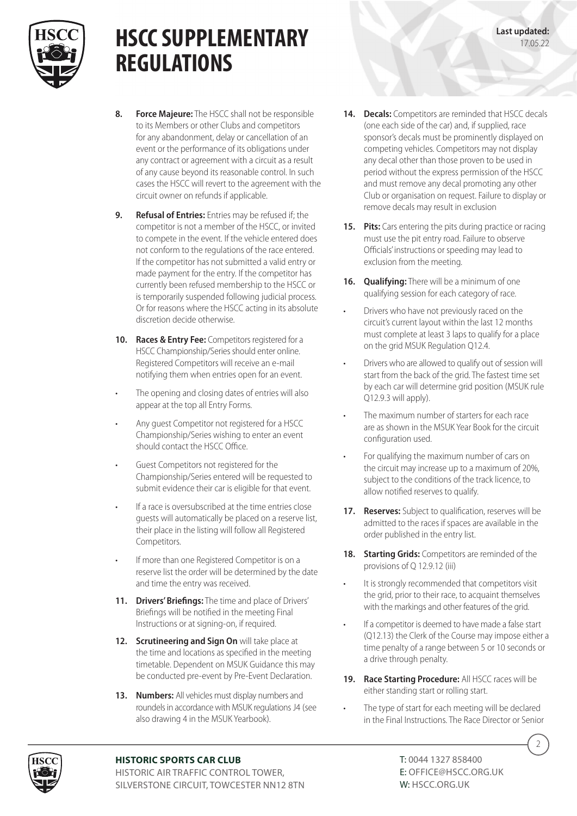

- **8. Force Majeure:** The HSCC shall not be responsible to its Members or other Clubs and competitors for any abandonment, delay or cancellation of an event or the performance of its obligations under any contract or agreement with a circuit as a result of any cause beyond its reasonable control. In such cases the HSCC will revert to the agreement with the circuit owner on refunds if applicable.
- **9. Refusal of Entries:** Entries may be refused if; the competitor is not a member of the HSCC, or invited to compete in the event. If the vehicle entered does not conform to the regulations of the race entered. If the competitor has not submitted a valid entry or made payment for the entry. If the competitor has currently been refused membership to the HSCC or is temporarily suspended following judicial process. Or for reasons where the HSCC acting in its absolute discretion decide otherwise.
- **10. Races & Entry Fee:** Competitors registered for a HSCC Championship/Series should enter online. Registered Competitors will receive an e-mail notifying them when entries open for an event.
- The opening and closing dates of entries will also appear at the top all Entry Forms.
- Any guest Competitor not registered for a HSCC Championship/Series wishing to enter an event should contact the HSCC Office.
- Guest Competitors not registered for the Championship/Series entered will be requested to submit evidence their car is eligible for that event.
- If a race is oversubscribed at the time entries close guests will automatically be placed on a reserve list, their place in the listing will follow all Registered Competitors.
- If more than one Registered Competitor is on a reserve list the order will be determined by the date and time the entry was received.
- **11. Drivers' Briefings:** The time and place of Drivers' Briefings will be notified in the meeting Final Instructions or at signing-on, if required.
- **12. Scrutineering and Sign On** will take place at the time and locations as specified in the meeting timetable. Dependent on MSUK Guidance this may be conducted pre-event by Pre-Event Declaration.
- **13. Numbers:** All vehicles must display numbers and roundels in accordance with MSUK regulations J4 (see also drawing 4 in the MSUK Yearbook).
- **14. Decals:** Competitors are reminded that HSCC decals (one each side of the car) and, if supplied, race sponsor's decals must be prominently displayed on competing vehicles. Competitors may not display any decal other than those proven to be used in period without the express permission of the HSCC and must remove any decal promoting any other Club or organisation on request. Failure to display or remove decals may result in exclusion
- **15. Pits:** Cars entering the pits during practice or racing must use the pit entry road. Failure to observe Officials' instructions or speeding may lead to exclusion from the meeting.
- **16. Qualifying:** There will be a minimum of one qualifying session for each category of race.
- Drivers who have not previously raced on the circuit's current layout within the last 12 months must complete at least 3 laps to qualify for a place on the grid MSUK Regulation Q12.4.
- Drivers who are allowed to qualify out of session will start from the back of the grid. The fastest time set by each car will determine grid position (MSUK rule Q12.9.3 will apply).
- The maximum number of starters for each race are as shown in the MSUK Year Book for the circuit configuration used.
- For qualifying the maximum number of cars on the circuit may increase up to a maximum of 20%, subject to the conditions of the track licence, to allow notified reserves to qualify.
- **17. Reserves:** Subject to qualification, reserves will be admitted to the races if spaces are available in the order published in the entry list.
- **18. Starting Grids:** Competitors are reminded of the provisions of Q 12.9.12 (iii)
- It is strongly recommended that competitors visit the grid, prior to their race, to acquaint themselves with the markings and other features of the grid.
- If a competitor is deemed to have made a false start (Q12.13) the Clerk of the Course may impose either a time penalty of a range between 5 or 10 seconds or a drive through penalty.
- **19. Race Starting Procedure:** All HSCC races will be either standing start or rolling start.
- The type of start for each meeting will be declared in the Final Instructions. The Race Director or Senior



#### **HISTORIC SPORTS CAR CLUB**

HISTORIC AIR TRAFFIC CONTROL TOWER, SILVERSTONE CIRCUIT, TOWCESTER NN12 8TN T: 0044 1327 858400 E: OFFICE@HSCC.ORG.UK W: HSCC.ORG.UK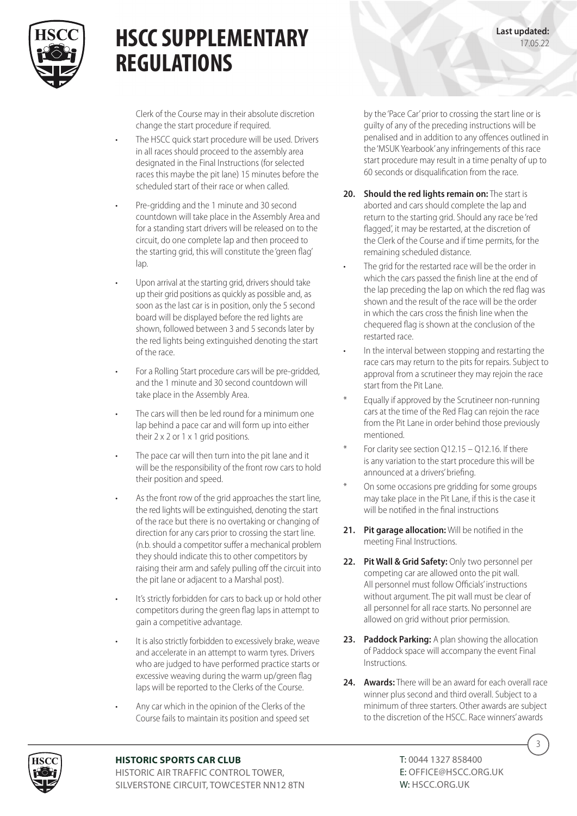

Clerk of the Course may in their absolute discretion change the start procedure if required.

- The HSCC quick start procedure will be used. Drivers in all races should proceed to the assembly area designated in the Final Instructions (for selected races this maybe the pit lane) 15 minutes before the scheduled start of their race or when called.
- Pre-gridding and the 1 minute and 30 second countdown will take place in the Assembly Area and for a standing start drivers will be released on to the circuit, do one complete lap and then proceed to the starting grid, this will constitute the 'green flag' lap.
- Upon arrival at the starting grid, drivers should take up their grid positions as quickly as possible and, as soon as the last car is in position, only the 5 second board will be displayed before the red lights are shown, followed between 3 and 5 seconds later by the red lights being extinguished denoting the start of the race.
- For a Rolling Start procedure cars will be pre-gridded, and the 1 minute and 30 second countdown will take place in the Assembly Area.
- The cars will then be led round for a minimum one lap behind a pace car and will form up into either their 2 x 2 or 1 x 1 grid positions.
- The pace car will then turn into the pit lane and it will be the responsibility of the front row cars to hold their position and speed.
- As the front row of the grid approaches the start line, the red lights will be extinguished, denoting the start of the race but there is no overtaking or changing of direction for any cars prior to crossing the start line. (n.b. should a competitor suffer a mechanical problem they should indicate this to other competitors by raising their arm and safely pulling off the circuit into the pit lane or adjacent to a Marshal post).
- It's strictly forbidden for cars to back up or hold other competitors during the green flag laps in attempt to gain a competitive advantage.
- It is also strictly forbidden to excessively brake, weave and accelerate in an attempt to warm tyres. Drivers who are judged to have performed practice starts or excessive weaving during the warm up/green flag laps will be reported to the Clerks of the Course.
- Any car which in the opinion of the Clerks of the Course fails to maintain its position and speed set

by the 'Pace Car' prior to crossing the start line or is guilty of any of the preceding instructions will be penalised and in addition to any offences outlined in the 'MSUK Yearbook' any infringements of this race start procedure may result in a time penalty of up to 60 seconds or disqualification from the race.

**Last updated:** 17.05.22

- **20. Should the red lights remain on:** The start is aborted and cars should complete the lap and return to the starting grid. Should any race be 'red flagged', it may be restarted, at the discretion of the Clerk of the Course and if time permits, for the remaining scheduled distance.
- The grid for the restarted race will be the order in which the cars passed the finish line at the end of the lap preceding the lap on which the red flag was shown and the result of the race will be the order in which the cars cross the finish line when the chequered flag is shown at the conclusion of the restarted race.
- In the interval between stopping and restarting the race cars may return to the pits for repairs. Subject to approval from a scrutineer they may rejoin the race start from the Pit Lane.
- Equally if approved by the Scrutineer non-running cars at the time of the Red Flag can rejoin the race from the Pit Lane in order behind those previously mentioned.
- For clarity see section  $Q12.15 Q12.16$ . If there is any variation to the start procedure this will be announced at a drivers' briefing.
- On some occasions pre gridding for some groups may take place in the Pit Lane, if this is the case it will be notified in the final instructions
- **21. Pit garage allocation:** Will be notified in the meeting Final Instructions.
- **22. Pit Wall & Grid Safety:** Only two personnel per competing car are allowed onto the pit wall. All personnel must follow Officials' instructions without argument. The pit wall must be clear of all personnel for all race starts. No personnel are allowed on grid without prior permission.
- **23. Paddock Parking:** A plan showing the allocation of Paddock space will accompany the event Final Instructions.
- **24. Awards:** There will be an award for each overall race winner plus second and third overall. Subject to a minimum of three starters. Other awards are subject to the discretion of the HSCC. Race winners' awards



#### **HISTORIC SPORTS CAR CLUB**

HISTORIC AIR TRAFFIC CONTROL TOWER, SILVERSTONE CIRCUIT, TOWCESTER NN12 8TN T: 0044 1327 858400 E: OFFICE@HSCC.ORG.UK W: HSCC.ORG.UK